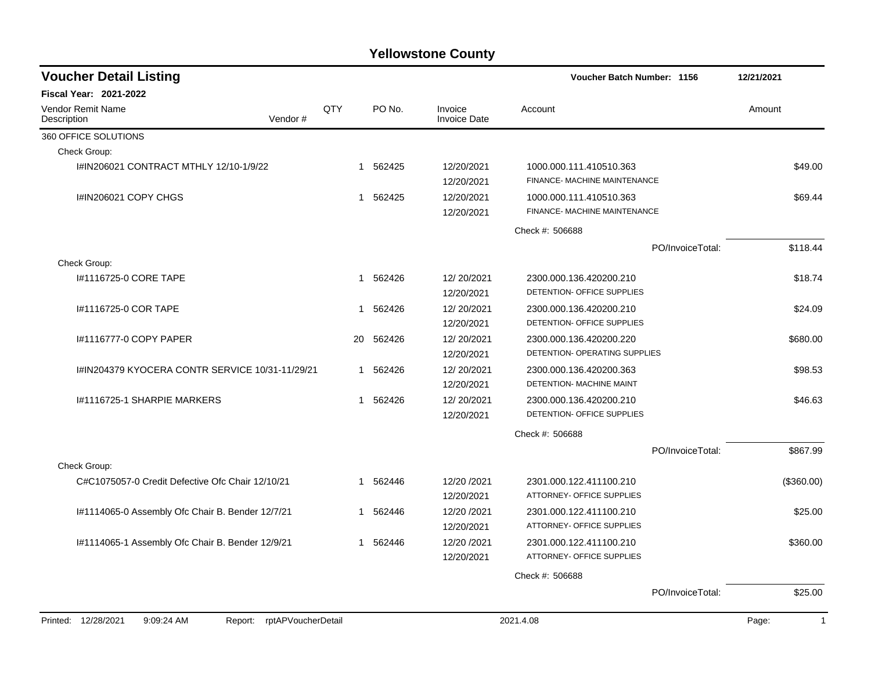| <b>Voucher Detail Listing</b>                                      |              |           |                                | <b>Voucher Batch Number: 1156</b>                        |                  | 12/21/2021            |
|--------------------------------------------------------------------|--------------|-----------|--------------------------------|----------------------------------------------------------|------------------|-----------------------|
| <b>Fiscal Year: 2021-2022</b>                                      |              |           |                                |                                                          |                  |                       |
| <b>Vendor Remit Name</b><br>Vendor#<br>Description                 | QTY          | PO No.    | Invoice<br><b>Invoice Date</b> | Account                                                  |                  | Amount                |
| 360 OFFICE SOLUTIONS                                               |              |           |                                |                                                          |                  |                       |
| Check Group:                                                       |              |           |                                |                                                          |                  |                       |
| I#IN206021 CONTRACT MTHLY 12/10-1/9/22                             | $\mathbf{1}$ | 562425    | 12/20/2021<br>12/20/2021       | 1000.000.111.410510.363<br>FINANCE- MACHINE MAINTENANCE  |                  | \$49.00               |
| I#IN206021 COPY CHGS                                               | 1            | 562425    | 12/20/2021<br>12/20/2021       | 1000.000.111.410510.363<br>FINANCE- MACHINE MAINTENANCE  |                  | \$69.44               |
|                                                                    |              |           |                                | Check #: 506688                                          |                  |                       |
|                                                                    |              |           |                                |                                                          | PO/InvoiceTotal: | \$118.44              |
| Check Group:                                                       |              |           |                                |                                                          |                  |                       |
| I#1116725-0 CORE TAPE                                              | 1            | 562426    | 12/20/2021<br>12/20/2021       | 2300.000.136.420200.210<br>DETENTION- OFFICE SUPPLIES    |                  | \$18.74               |
| I#1116725-0 COR TAPE                                               | 1            | 562426    | 12/20/2021<br>12/20/2021       | 2300.000.136.420200.210<br>DETENTION- OFFICE SUPPLIES    |                  | \$24.09               |
| I#1116777-0 COPY PAPER                                             |              | 20 562426 | 12/20/2021<br>12/20/2021       | 2300.000.136.420200.220<br>DETENTION- OPERATING SUPPLIES |                  | \$680.00              |
| I#IN204379 KYOCERA CONTR SERVICE 10/31-11/29/21                    | 1            | 562426    | 12/20/2021<br>12/20/2021       | 2300.000.136.420200.363<br>DETENTION- MACHINE MAINT      |                  | \$98.53               |
| 1#1116725-1 SHARPIE MARKERS                                        | 1            | 562426    | 12/20/2021<br>12/20/2021       | 2300.000.136.420200.210<br>DETENTION- OFFICE SUPPLIES    |                  | \$46.63               |
|                                                                    |              |           |                                | Check #: 506688                                          |                  |                       |
|                                                                    |              |           |                                |                                                          | PO/InvoiceTotal: | \$867.99              |
| Check Group:                                                       |              |           |                                |                                                          |                  |                       |
| C#C1075057-0 Credit Defective Ofc Chair 12/10/21                   | $\mathbf{1}$ | 562446    | 12/20 / 2021<br>12/20/2021     | 2301.000.122.411100.210<br>ATTORNEY- OFFICE SUPPLIES     |                  | (\$360.00)            |
| l#1114065-0 Assembly Ofc Chair B. Bender 12/7/21                   | 1            | 562446    | 12/20 /2021<br>12/20/2021      | 2301.000.122.411100.210<br>ATTORNEY- OFFICE SUPPLIES     |                  | \$25.00               |
| l#1114065-1 Assembly Ofc Chair B. Bender 12/9/21                   | 1            | 562446    | 12/20 /2021<br>12/20/2021      | 2301.000.122.411100.210<br>ATTORNEY- OFFICE SUPPLIES     |                  | \$360.00              |
|                                                                    |              |           |                                | Check #: 506688                                          |                  |                       |
|                                                                    |              |           |                                |                                                          | PO/InvoiceTotal: | \$25.00               |
| Printed: 12/28/2021<br>9:09:24 AM<br>rptAPVoucherDetail<br>Report: |              |           |                                | 2021.4.08                                                |                  | Page:<br>$\mathbf{1}$ |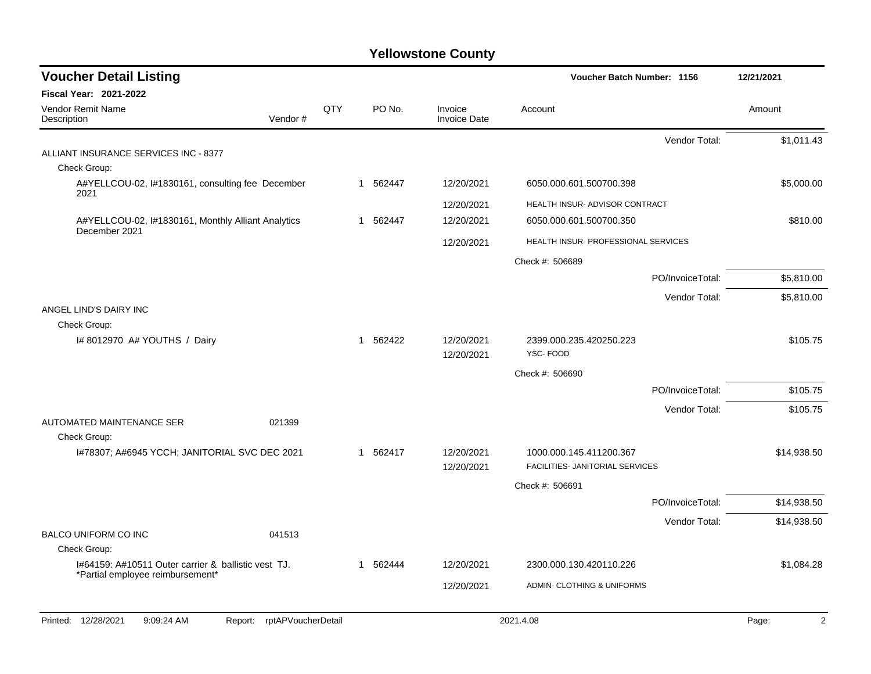| <b>Voucher Detail Listing</b>                                                           |     |          |                                | Voucher Batch Number: 1156          | 12/21/2021  |
|-----------------------------------------------------------------------------------------|-----|----------|--------------------------------|-------------------------------------|-------------|
| <b>Fiscal Year: 2021-2022</b>                                                           |     |          |                                |                                     |             |
| Vendor Remit Name<br>Vendor#<br>Description                                             | QTY | PO No.   | Invoice<br><b>Invoice Date</b> | Account                             | Amount      |
|                                                                                         |     |          |                                | Vendor Total:                       | \$1,011.43  |
| ALLIANT INSURANCE SERVICES INC - 8377                                                   |     |          |                                |                                     |             |
| Check Group:                                                                            |     |          |                                |                                     |             |
| A#YELLCOU-02, I#1830161, consulting fee December<br>2021                                |     | 1 562447 | 12/20/2021                     | 6050.000.601.500700.398             | \$5,000.00  |
|                                                                                         |     |          | 12/20/2021                     | HEALTH INSUR- ADVISOR CONTRACT      |             |
| A#YELLCOU-02, I#1830161, Monthly Alliant Analytics<br>December 2021                     |     | 1 562447 | 12/20/2021                     | 6050.000.601.500700.350             | \$810.00    |
|                                                                                         |     |          | 12/20/2021                     | HEALTH INSUR- PROFESSIONAL SERVICES |             |
|                                                                                         |     |          |                                | Check #: 506689                     |             |
|                                                                                         |     |          |                                | PO/InvoiceTotal:                    | \$5,810.00  |
|                                                                                         |     |          |                                | Vendor Total:                       | \$5,810.00  |
| ANGEL LIND'S DAIRY INC<br>Check Group:                                                  |     |          |                                |                                     |             |
| I# 8012970 A# YOUTHS / Dairy                                                            |     | 1 562422 | 12/20/2021                     | 2399.000.235.420250.223             | \$105.75    |
|                                                                                         |     |          | 12/20/2021                     | YSC-FOOD                            |             |
|                                                                                         |     |          |                                | Check #: 506690                     |             |
|                                                                                         |     |          |                                | PO/InvoiceTotal:                    | \$105.75    |
|                                                                                         |     |          |                                | Vendor Total:                       | \$105.75    |
| AUTOMATED MAINTENANCE SER<br>021399<br>Check Group:                                     |     |          |                                |                                     |             |
| I#78307; A#6945 YCCH; JANITORIAL SVC DEC 2021                                           |     | 1 562417 | 12/20/2021                     | 1000.000.145.411200.367             | \$14,938.50 |
|                                                                                         |     |          | 12/20/2021                     | FACILITIES- JANITORIAL SERVICES     |             |
|                                                                                         |     |          |                                | Check #: 506691                     |             |
|                                                                                         |     |          |                                | PO/InvoiceTotal:                    | \$14,938.50 |
|                                                                                         |     |          |                                | Vendor Total:                       | \$14,938.50 |
| <b>BALCO UNIFORM CO INC</b><br>041513                                                   |     |          |                                |                                     |             |
| Check Group:                                                                            |     |          |                                |                                     |             |
| 1#64159: A#10511 Outer carrier & ballistic vest TJ.<br>*Partial employee reimbursement* |     | 1 562444 | 12/20/2021                     | 2300.000.130.420110.226             | \$1,084.28  |
|                                                                                         |     |          | 12/20/2021                     | ADMIN- CLOTHING & UNIFORMS          |             |
| Printed: 12/28/2021<br>9:09:24 AM<br>rptAPVoucherDetail<br>Report:                      |     |          |                                | 2021.4.08                           | 2<br>Page:  |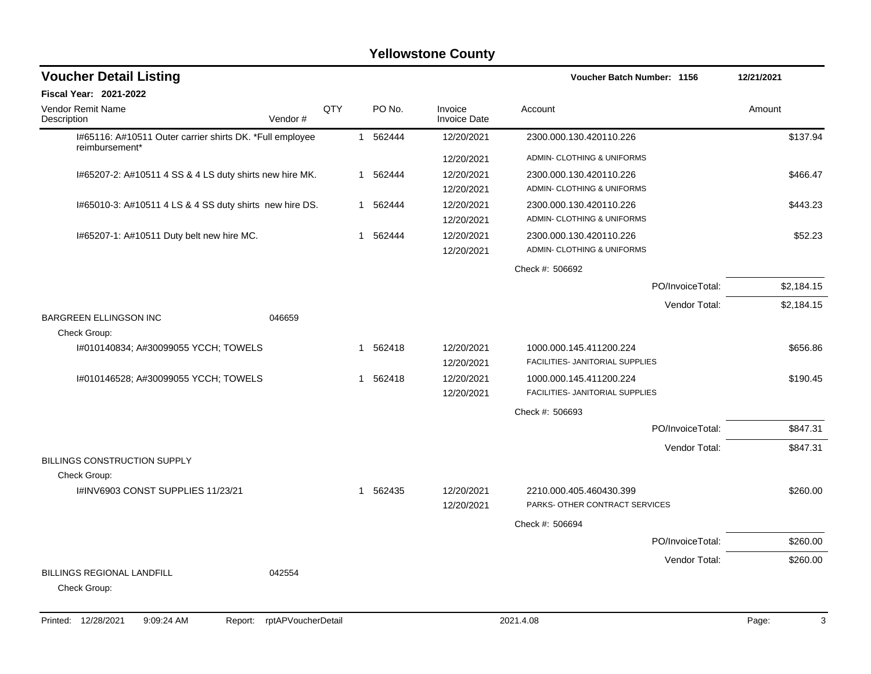| <b>Voucher Detail Listing</b>                                              |         |     |          |                                | <b>Voucher Batch Number: 1156</b>     | 12/21/2021 |
|----------------------------------------------------------------------------|---------|-----|----------|--------------------------------|---------------------------------------|------------|
| <b>Fiscal Year: 2021-2022</b>                                              |         |     |          |                                |                                       |            |
| <b>Vendor Remit Name</b><br>Description                                    | Vendor# | QTY | PO No.   | Invoice<br><b>Invoice Date</b> | Account                               | Amount     |
| I#65116: A#10511 Outer carrier shirts DK. *Full employee<br>reimbursement* |         |     | 1 562444 | 12/20/2021                     | 2300.000.130.420110.226               | \$137.94   |
|                                                                            |         |     |          | 12/20/2021                     | ADMIN- CLOTHING & UNIFORMS            |            |
| I#65207-2: A#10511 4 SS & 4 LS duty shirts new hire MK.                    |         |     | 1 562444 | 12/20/2021                     | 2300.000.130.420110.226               | \$466.47   |
|                                                                            |         |     |          | 12/20/2021                     | ADMIN- CLOTHING & UNIFORMS            |            |
| I#65010-3: A#10511 4 LS & 4 SS duty shirts new hire DS.                    |         |     | 1 562444 | 12/20/2021                     | 2300.000.130.420110.226               | \$443.23   |
|                                                                            |         |     |          | 12/20/2021                     | ADMIN- CLOTHING & UNIFORMS            |            |
| I#65207-1: A#10511 Duty belt new hire MC.                                  |         |     | 1 562444 | 12/20/2021                     | 2300.000.130.420110.226               | \$52.23    |
|                                                                            |         |     |          | 12/20/2021                     | <b>ADMIN- CLOTHING &amp; UNIFORMS</b> |            |
|                                                                            |         |     |          |                                | Check #: 506692                       |            |
|                                                                            |         |     |          |                                | PO/InvoiceTotal:                      | \$2,184.15 |
|                                                                            |         |     |          |                                | Vendor Total:                         | \$2,184.15 |
| BARGREEN ELLINGSON INC                                                     | 046659  |     |          |                                |                                       |            |
| Check Group:                                                               |         |     |          |                                |                                       |            |
| I#010140834; A#30099055 YCCH; TOWELS                                       |         |     | 1 562418 | 12/20/2021                     | 1000.000.145.411200.224               | \$656.86   |
|                                                                            |         |     |          | 12/20/2021                     | FACILITIES- JANITORIAL SUPPLIES       |            |
| I#010146528; A#30099055 YCCH; TOWELS                                       |         |     | 1 562418 | 12/20/2021                     | 1000.000.145.411200.224               | \$190.45   |
|                                                                            |         |     |          | 12/20/2021                     | FACILITIES- JANITORIAL SUPPLIES       |            |
|                                                                            |         |     |          |                                | Check #: 506693                       |            |
|                                                                            |         |     |          |                                | PO/InvoiceTotal:                      | \$847.31   |
|                                                                            |         |     |          |                                | Vendor Total:                         | \$847.31   |
| <b>BILLINGS CONSTRUCTION SUPPLY</b>                                        |         |     |          |                                |                                       |            |
| Check Group:                                                               |         |     |          |                                |                                       |            |
| I#INV6903 CONST SUPPLIES 11/23/21                                          |         |     | 1 562435 | 12/20/2021                     | 2210.000.405.460430.399               | \$260.00   |
|                                                                            |         |     |          | 12/20/2021                     | PARKS- OTHER CONTRACT SERVICES        |            |
|                                                                            |         |     |          |                                | Check #: 506694                       |            |
|                                                                            |         |     |          |                                | PO/InvoiceTotal:                      | \$260.00   |
|                                                                            |         |     |          |                                | Vendor Total:                         | \$260.00   |
| <b>BILLINGS REGIONAL LANDFILL</b><br>Check Group:                          | 042554  |     |          |                                |                                       |            |
|                                                                            |         |     |          |                                |                                       |            |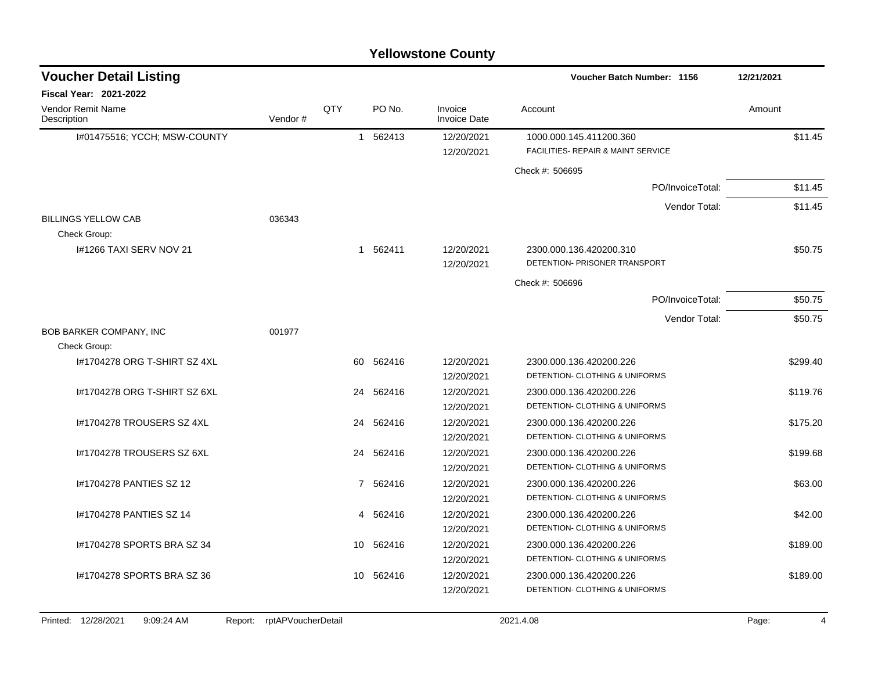|                                            |         |                 |           | <b>Yellowstone County</b>      |                                                               |            |
|--------------------------------------------|---------|-----------------|-----------|--------------------------------|---------------------------------------------------------------|------------|
| <b>Voucher Detail Listing</b>              |         |                 |           |                                | Voucher Batch Number: 1156                                    | 12/21/2021 |
| <b>Fiscal Year: 2021-2022</b>              |         |                 |           |                                |                                                               |            |
| Vendor Remit Name<br>Description           | Vendor# | QTY             | PO No.    | Invoice<br><b>Invoice Date</b> | Account                                                       | Amount     |
| I#01475516; YCCH; MSW-COUNTY               |         |                 | 1 562413  | 12/20/2021<br>12/20/2021       | 1000.000.145.411200.360<br>FACILITIES- REPAIR & MAINT SERVICE | \$11.45    |
|                                            |         |                 |           |                                | Check #: 506695                                               |            |
|                                            |         |                 |           |                                | PO/InvoiceTotal:                                              | \$11.45    |
|                                            |         |                 |           |                                | Vendor Total:                                                 | \$11.45    |
| <b>BILLINGS YELLOW CAB</b><br>Check Group: | 036343  |                 |           |                                |                                                               |            |
| 1#1266 TAXI SERV NOV 21                    |         |                 | 1 562411  | 12/20/2021                     | 2300.000.136.420200.310                                       | \$50.75    |
|                                            |         |                 |           | 12/20/2021                     | DETENTION- PRISONER TRANSPORT                                 |            |
|                                            |         |                 |           |                                | Check #: 506696                                               |            |
|                                            |         |                 |           |                                | PO/InvoiceTotal:                                              | \$50.75    |
|                                            |         |                 |           |                                | Vendor Total:                                                 | \$50.75    |
| BOB BARKER COMPANY, INC                    | 001977  |                 |           |                                |                                                               |            |
| Check Group:                               |         |                 |           |                                |                                                               |            |
| I#1704278 ORG T-SHIRT SZ 4XL               |         | 60              | 562416    | 12/20/2021                     | 2300.000.136.420200.226                                       | \$299.40   |
|                                            |         |                 |           | 12/20/2021                     | DETENTION- CLOTHING & UNIFORMS                                |            |
| 1#1704278 ORG T-SHIRT SZ 6XL               |         | 24              | 562416    | 12/20/2021                     | 2300.000.136.420200.226                                       | \$119.76   |
|                                            |         |                 |           | 12/20/2021                     | DETENTION- CLOTHING & UNIFORMS                                |            |
| 1#1704278 TROUSERS SZ 4XL                  |         |                 | 24 562416 | 12/20/2021                     | 2300.000.136.420200.226                                       | \$175.20   |
|                                            |         |                 |           | 12/20/2021                     | DETENTION- CLOTHING & UNIFORMS                                |            |
| I#1704278 TROUSERS SZ 6XL                  |         |                 | 24 562416 | 12/20/2021                     | 2300.000.136.420200.226<br>DETENTION- CLOTHING & UNIFORMS     | \$199.68   |
|                                            |         |                 |           | 12/20/2021                     |                                                               |            |
| 1#1704278 PANTIES SZ 12                    |         |                 | 7 562416  | 12/20/2021<br>12/20/2021       | 2300.000.136.420200.226<br>DETENTION- CLOTHING & UNIFORMS     | \$63.00    |
| 1#1704278 PANTIES SZ 14                    |         |                 |           | 12/20/2021                     | 2300.000.136.420200.226                                       |            |
|                                            |         |                 | 4 562416  | 12/20/2021                     | DETENTION- CLOTHING & UNIFORMS                                | \$42.00    |
| I#1704278 SPORTS BRA SZ 34                 |         | 10              | 562416    | 12/20/2021                     | 2300.000.136.420200.226                                       | \$189.00   |
|                                            |         |                 |           | 12/20/2021                     | DETENTION- CLOTHING & UNIFORMS                                |            |
| 1#1704278 SPORTS BRA SZ 36                 |         | 10 <sup>1</sup> | 562416    | 12/20/2021                     | 2300.000.136.420200.226                                       | \$189.00   |
|                                            |         |                 |           | 12/20/2021                     | DETENTION- CLOTHING & UNIFORMS                                |            |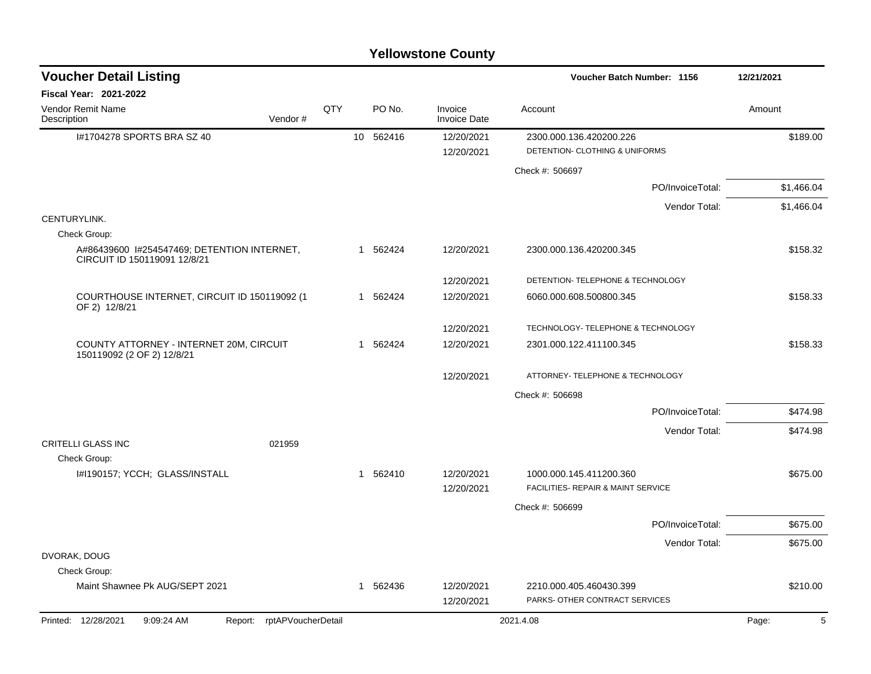| <b>Voucher Detail Listing</b>                                               |                               |     |           |        |                                | Voucher Batch Number: 1156                                    | 12/21/2021 |
|-----------------------------------------------------------------------------|-------------------------------|-----|-----------|--------|--------------------------------|---------------------------------------------------------------|------------|
| Fiscal Year: 2021-2022                                                      |                               |     |           |        |                                |                                                               |            |
| Vendor Remit Name<br>Description                                            | Vendor#                       | QTY |           | PO No. | Invoice<br><b>Invoice Date</b> | Account                                                       | Amount     |
| I#1704278 SPORTS BRA SZ 40                                                  |                               |     | 10 562416 |        | 12/20/2021<br>12/20/2021       | 2300.000.136.420200.226<br>DETENTION- CLOTHING & UNIFORMS     | \$189.00   |
|                                                                             |                               |     |           |        |                                | Check #: 506697                                               |            |
|                                                                             |                               |     |           |        |                                | PO/InvoiceTotal:                                              | \$1,466.04 |
|                                                                             |                               |     |           |        |                                | Vendor Total:                                                 | \$1,466.04 |
| CENTURYLINK.                                                                |                               |     |           |        |                                |                                                               |            |
| Check Group:                                                                |                               |     |           |        |                                |                                                               |            |
| A#86439600 1#254547469; DETENTION INTERNET,<br>CIRCUIT ID 150119091 12/8/21 |                               |     | 1 562424  |        | 12/20/2021                     | 2300.000.136.420200.345                                       | \$158.32   |
|                                                                             |                               |     |           |        | 12/20/2021                     | DETENTION- TELEPHONE & TECHNOLOGY                             |            |
| COURTHOUSE INTERNET, CIRCUIT ID 150119092 (1<br>OF 2) 12/8/21               |                               |     | 1 562424  |        | 12/20/2021                     | 6060.000.608.500800.345                                       | \$158.33   |
|                                                                             |                               |     |           |        | 12/20/2021                     | TECHNOLOGY- TELEPHONE & TECHNOLOGY                            |            |
| COUNTY ATTORNEY - INTERNET 20M, CIRCUIT<br>150119092 (2 OF 2) 12/8/21       |                               |     | 1 562424  |        | 12/20/2021                     | 2301.000.122.411100.345                                       | \$158.33   |
|                                                                             |                               |     |           |        | 12/20/2021                     | ATTORNEY- TELEPHONE & TECHNOLOGY                              |            |
|                                                                             |                               |     |           |        |                                | Check #: 506698                                               |            |
|                                                                             |                               |     |           |        |                                | PO/InvoiceTotal:                                              | \$474.98   |
|                                                                             |                               |     |           |        |                                | Vendor Total:                                                 | \$474.98   |
| <b>CRITELLI GLASS INC</b>                                                   | 021959                        |     |           |        |                                |                                                               |            |
| Check Group:                                                                |                               |     |           |        |                                |                                                               |            |
| I#I190157; YCCH; GLASS/INSTALL                                              |                               |     | 1 562410  |        | 12/20/2021<br>12/20/2021       | 1000.000.145.411200.360<br>FACILITIES- REPAIR & MAINT SERVICE | \$675.00   |
|                                                                             |                               |     |           |        |                                | Check #: 506699                                               |            |
|                                                                             |                               |     |           |        |                                | PO/InvoiceTotal:                                              | \$675.00   |
|                                                                             |                               |     |           |        |                                | Vendor Total:                                                 | \$675.00   |
| DVORAK, DOUG                                                                |                               |     |           |        |                                |                                                               |            |
| Check Group:                                                                |                               |     |           |        |                                |                                                               |            |
| Maint Shawnee Pk AUG/SEPT 2021                                              |                               |     | 1 562436  |        | 12/20/2021<br>12/20/2021       | 2210.000.405.460430.399<br>PARKS- OTHER CONTRACT SERVICES     | \$210.00   |
| Printed: 12/28/2021<br>9:09:24 AM                                           | rptAPVoucherDetail<br>Report: |     |           |        |                                | 2021.4.08                                                     | 5<br>Page: |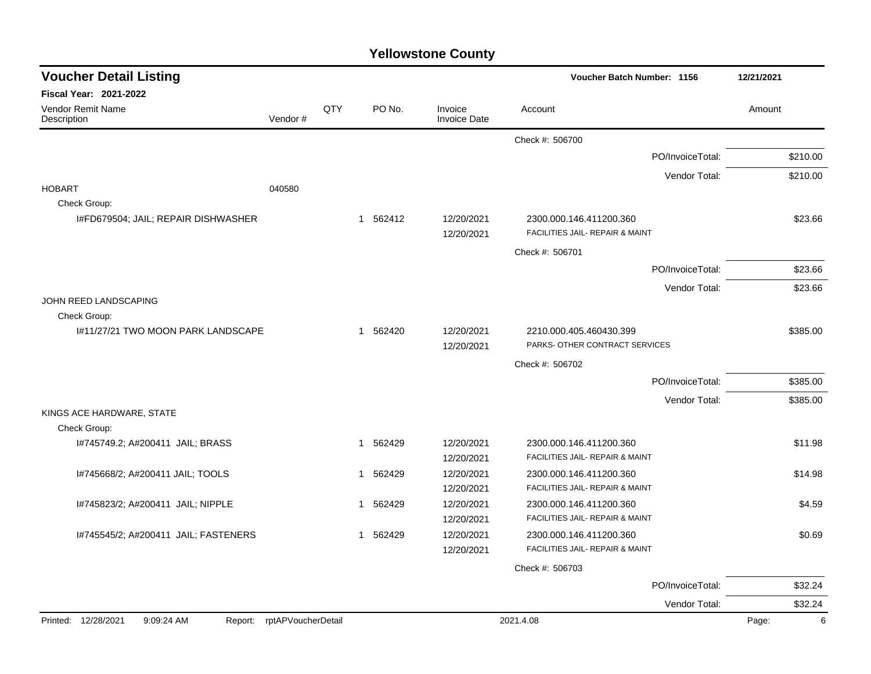|  | <b>Yellowstone County</b> |  |
|--|---------------------------|--|
|--|---------------------------|--|

| <b>Voucher Detail Listing</b>        |                            |              |          |                                | <b>Voucher Batch Number: 1156</b>                          |                  | 12/21/2021 |
|--------------------------------------|----------------------------|--------------|----------|--------------------------------|------------------------------------------------------------|------------------|------------|
| <b>Fiscal Year: 2021-2022</b>        |                            |              |          |                                |                                                            |                  |            |
| Vendor Remit Name<br>Description     | Vendor#                    | QTY          | PO No.   | Invoice<br><b>Invoice Date</b> | Account                                                    |                  | Amount     |
|                                      |                            |              |          |                                | Check #: 506700                                            |                  |            |
|                                      |                            |              |          |                                |                                                            | PO/InvoiceTotal: | \$210.00   |
|                                      |                            |              |          |                                |                                                            | Vendor Total:    | \$210.00   |
| <b>HOBART</b>                        | 040580                     |              |          |                                |                                                            |                  |            |
| Check Group:                         |                            |              |          |                                |                                                            |                  |            |
| I#FD679504; JAIL; REPAIR DISHWASHER  |                            |              | 1 562412 | 12/20/2021<br>12/20/2021       | 2300.000.146.411200.360<br>FACILITIES JAIL- REPAIR & MAINT |                  | \$23.66    |
|                                      |                            |              |          |                                | Check #: 506701                                            |                  |            |
|                                      |                            |              |          |                                |                                                            | PO/InvoiceTotal: | \$23.66    |
|                                      |                            |              |          |                                |                                                            | Vendor Total:    | \$23.66    |
| JOHN REED LANDSCAPING                |                            |              |          |                                |                                                            |                  |            |
| Check Group:                         |                            |              |          |                                |                                                            |                  |            |
| I#11/27/21 TWO MOON PARK LANDSCAPE   |                            |              | 1 562420 | 12/20/2021<br>12/20/2021       | 2210.000.405.460430.399<br>PARKS- OTHER CONTRACT SERVICES  |                  | \$385.00   |
|                                      |                            |              |          |                                | Check #: 506702                                            |                  |            |
|                                      |                            |              |          |                                |                                                            | PO/InvoiceTotal: | \$385.00   |
|                                      |                            |              |          |                                |                                                            | Vendor Total:    | \$385.00   |
| KINGS ACE HARDWARE, STATE            |                            |              |          |                                |                                                            |                  |            |
| Check Group:                         |                            |              |          |                                |                                                            |                  |            |
| I#745749.2; A#200411 JAIL; BRASS     |                            |              | 1 562429 | 12/20/2021                     | 2300.000.146.411200.360<br>FACILITIES JAIL- REPAIR & MAINT |                  | \$11.98    |
| I#745668/2; A#200411 JAIL; TOOLS     |                            |              | 1 562429 | 12/20/2021<br>12/20/2021       | 2300.000.146.411200.360                                    |                  | \$14.98    |
|                                      |                            |              |          | 12/20/2021                     | FACILITIES JAIL- REPAIR & MAINT                            |                  |            |
| I#745823/2; A#200411 JAIL; NIPPLE    |                            | $\mathbf{1}$ | 562429   | 12/20/2021                     | 2300.000.146.411200.360                                    |                  | \$4.59     |
|                                      |                            |              |          | 12/20/2021                     | FACILITIES JAIL- REPAIR & MAINT                            |                  |            |
| I#745545/2; A#200411 JAIL; FASTENERS |                            | $\mathbf 1$  | 562429   | 12/20/2021                     | 2300.000.146.411200.360                                    |                  | \$0.69     |
|                                      |                            |              |          | 12/20/2021                     | FACILITIES JAIL- REPAIR & MAINT                            |                  |            |
|                                      |                            |              |          |                                | Check #: 506703                                            |                  |            |
|                                      |                            |              |          |                                |                                                            | PO/InvoiceTotal: | \$32.24    |
|                                      |                            |              |          |                                |                                                            | Vendor Total:    | \$32.24    |
| Printed: 12/28/2021<br>9:09:24 AM    | Report: rptAPVoucherDetail |              |          |                                | 2021.4.08                                                  |                  | 6<br>Page: |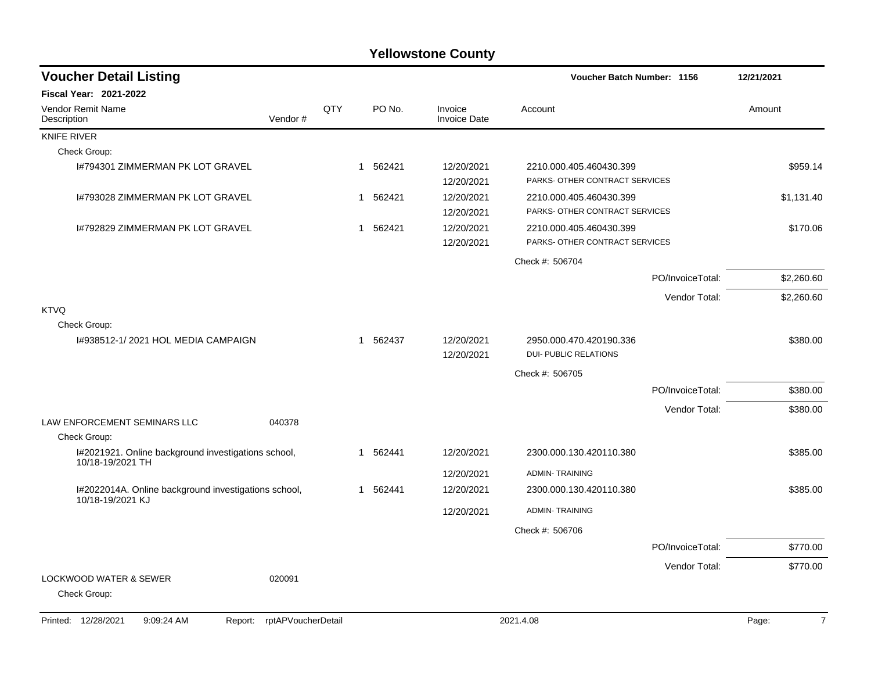| <b>Voucher Detail Listing</b>                                            |                    |     |                        |                                | Voucher Batch Number: 1156                                |                  | 12/21/2021              |
|--------------------------------------------------------------------------|--------------------|-----|------------------------|--------------------------------|-----------------------------------------------------------|------------------|-------------------------|
| <b>Fiscal Year: 2021-2022</b>                                            |                    |     |                        |                                |                                                           |                  |                         |
| <b>Vendor Remit Name</b><br>Description                                  | Vendor#            | QTY | PO No.                 | Invoice<br><b>Invoice Date</b> | Account                                                   |                  | Amount                  |
| <b>KNIFE RIVER</b>                                                       |                    |     |                        |                                |                                                           |                  |                         |
| Check Group:                                                             |                    |     |                        |                                |                                                           |                  |                         |
| 1#794301 ZIMMERMAN PK LOT GRAVEL                                         |                    |     | 562421<br>-1           | 12/20/2021<br>12/20/2021       | 2210.000.405.460430.399<br>PARKS- OTHER CONTRACT SERVICES |                  | \$959.14                |
| 1#793028 ZIMMERMAN PK LOT GRAVEL                                         |                    |     | 562421<br>1            | 12/20/2021<br>12/20/2021       | 2210.000.405.460430.399<br>PARKS- OTHER CONTRACT SERVICES |                  | \$1,131.40              |
| I#792829 ZIMMERMAN PK LOT GRAVEL                                         |                    |     | 562421<br>1            | 12/20/2021<br>12/20/2021       | 2210.000.405.460430.399<br>PARKS- OTHER CONTRACT SERVICES |                  | \$170.06                |
|                                                                          |                    |     |                        |                                | Check #: 506704                                           |                  |                         |
|                                                                          |                    |     |                        |                                |                                                           | PO/InvoiceTotal: | \$2,260.60              |
|                                                                          |                    |     |                        |                                |                                                           | Vendor Total:    | \$2,260.60              |
| <b>KTVQ</b><br>Check Group:                                              |                    |     |                        |                                |                                                           |                  |                         |
| I#938512-1/2021 HOL MEDIA CAMPAIGN                                       |                    |     | 562437<br>$\mathbf{1}$ | 12/20/2021<br>12/20/2021       | 2950.000.470.420190.336<br><b>DUI- PUBLIC RELATIONS</b>   |                  | \$380.00                |
|                                                                          |                    |     |                        |                                | Check #: 506705                                           |                  |                         |
|                                                                          |                    |     |                        |                                |                                                           | PO/InvoiceTotal: | \$380.00                |
|                                                                          |                    |     |                        |                                |                                                           | Vendor Total:    | \$380.00                |
| LAW ENFORCEMENT SEMINARS LLC<br>Check Group:                             | 040378             |     |                        |                                |                                                           |                  |                         |
| I#2021921. Online background investigations school,                      |                    |     | 562441<br>1            | 12/20/2021                     | 2300.000.130.420110.380                                   |                  | \$385.00                |
| 10/18-19/2021 TH                                                         |                    |     |                        | 12/20/2021                     | <b>ADMIN-TRAINING</b>                                     |                  |                         |
| I#2022014A. Online background investigations school,<br>10/18-19/2021 KJ |                    |     | 562441<br>$\mathbf{1}$ | 12/20/2021                     | 2300.000.130.420110.380                                   |                  | \$385.00                |
|                                                                          |                    |     |                        | 12/20/2021                     | <b>ADMIN-TRAINING</b>                                     |                  |                         |
|                                                                          |                    |     |                        |                                | Check #: 506706                                           |                  |                         |
|                                                                          |                    |     |                        |                                |                                                           | PO/InvoiceTotal: | \$770.00                |
|                                                                          |                    |     |                        |                                |                                                           | Vendor Total:    | \$770.00                |
| <b>LOCKWOOD WATER &amp; SEWER</b><br>Check Group:                        | 020091             |     |                        |                                |                                                           |                  |                         |
| Printed: 12/28/2021<br>9:09:24 AM<br>Report:                             | rptAPVoucherDetail |     |                        |                                | 2021.4.08                                                 |                  | $\overline{7}$<br>Page: |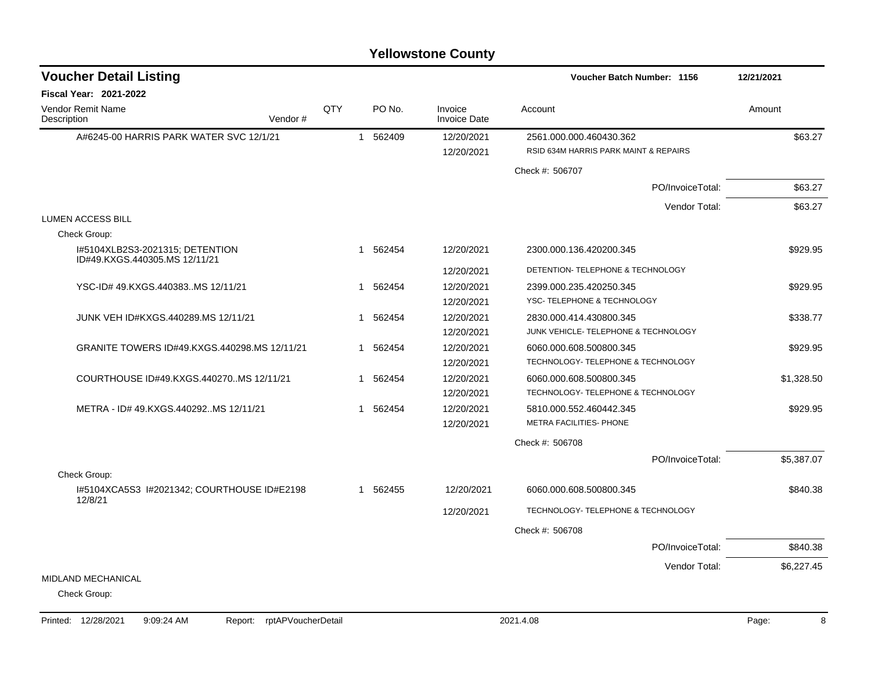| <b>Voucher Detail Listing</b>                                    |     |   |          |                                | <b>Voucher Batch Number: 1156</b>                                | 12/21/2021 |
|------------------------------------------------------------------|-----|---|----------|--------------------------------|------------------------------------------------------------------|------------|
| <b>Fiscal Year: 2021-2022</b>                                    |     |   |          |                                |                                                                  |            |
| Vendor Remit Name<br>Vendor#<br>Description                      | QTY |   | PO No.   | Invoice<br><b>Invoice Date</b> | Account                                                          | Amount     |
| A#6245-00 HARRIS PARK WATER SVC 12/1/21                          |     |   | 1 562409 | 12/20/2021<br>12/20/2021       | 2561.000.000.460430.362<br>RSID 634M HARRIS PARK MAINT & REPAIRS | \$63.27    |
|                                                                  |     |   |          |                                | Check #: 506707                                                  |            |
|                                                                  |     |   |          |                                | PO/InvoiceTotal:                                                 | \$63.27    |
|                                                                  |     |   |          |                                | Vendor Total:                                                    | \$63.27    |
| <b>LUMEN ACCESS BILL</b>                                         |     |   |          |                                |                                                                  |            |
| Check Group:                                                     |     |   |          |                                |                                                                  |            |
| 1#5104XLB2S3-2021315; DETENTION<br>ID#49.KXGS.440305.MS 12/11/21 |     |   | 1 562454 | 12/20/2021                     | 2300.000.136.420200.345                                          | \$929.95   |
|                                                                  |     |   |          | 12/20/2021                     | DETENTION- TELEPHONE & TECHNOLOGY                                |            |
| YSC-ID# 49.KXGS.440383MS 12/11/21                                |     | 1 | 562454   | 12/20/2021                     | 2399.000.235.420250.345                                          | \$929.95   |
|                                                                  |     |   |          | 12/20/2021                     | YSC- TELEPHONE & TECHNOLOGY                                      |            |
| JUNK VEH ID#KXGS.440289.MS 12/11/21                              |     |   | 1 562454 | 12/20/2021                     | 2830.000.414.430800.345                                          | \$338.77   |
|                                                                  |     |   |          | 12/20/2021                     | JUNK VEHICLE- TELEPHONE & TECHNOLOGY                             |            |
| GRANITE TOWERS ID#49.KXGS.440298.MS 12/11/21                     |     |   | 1 562454 | 12/20/2021                     | 6060.000.608.500800.345                                          | \$929.95   |
|                                                                  |     |   |          | 12/20/2021                     | TECHNOLOGY- TELEPHONE & TECHNOLOGY                               |            |
| COURTHOUSE ID#49.KXGS.440270MS 12/11/21                          |     |   | 1 562454 | 12/20/2021                     | 6060.000.608.500800.345                                          | \$1,328.50 |
|                                                                  |     |   |          | 12/20/2021                     | TECHNOLOGY- TELEPHONE & TECHNOLOGY                               |            |
| METRA - ID# 49.KXGS.440292MS 12/11/21                            |     |   | 1 562454 | 12/20/2021                     | 5810.000.552.460442.345                                          | \$929.95   |
|                                                                  |     |   |          | 12/20/2021                     | <b>METRA FACILITIES- PHONE</b>                                   |            |
|                                                                  |     |   |          |                                | Check #: 506708                                                  |            |
|                                                                  |     |   |          |                                | PO/InvoiceTotal:                                                 | \$5,387.07 |
| Check Group:                                                     |     |   |          |                                |                                                                  |            |
| I#5104XCA5S3 I#2021342; COURTHOUSE ID#E2198<br>12/8/21           |     |   | 1 562455 | 12/20/2021                     | 6060.000.608.500800.345                                          | \$840.38   |
|                                                                  |     |   |          | 12/20/2021                     | TECHNOLOGY- TELEPHONE & TECHNOLOGY                               |            |
|                                                                  |     |   |          |                                | Check #: 506708                                                  |            |
|                                                                  |     |   |          |                                | PO/InvoiceTotal:                                                 | \$840.38   |
|                                                                  |     |   |          |                                | Vendor Total:                                                    | \$6,227.45 |
| <b>MIDLAND MECHANICAL</b>                                        |     |   |          |                                |                                                                  |            |
| Check Group:                                                     |     |   |          |                                |                                                                  |            |
|                                                                  |     |   |          |                                |                                                                  |            |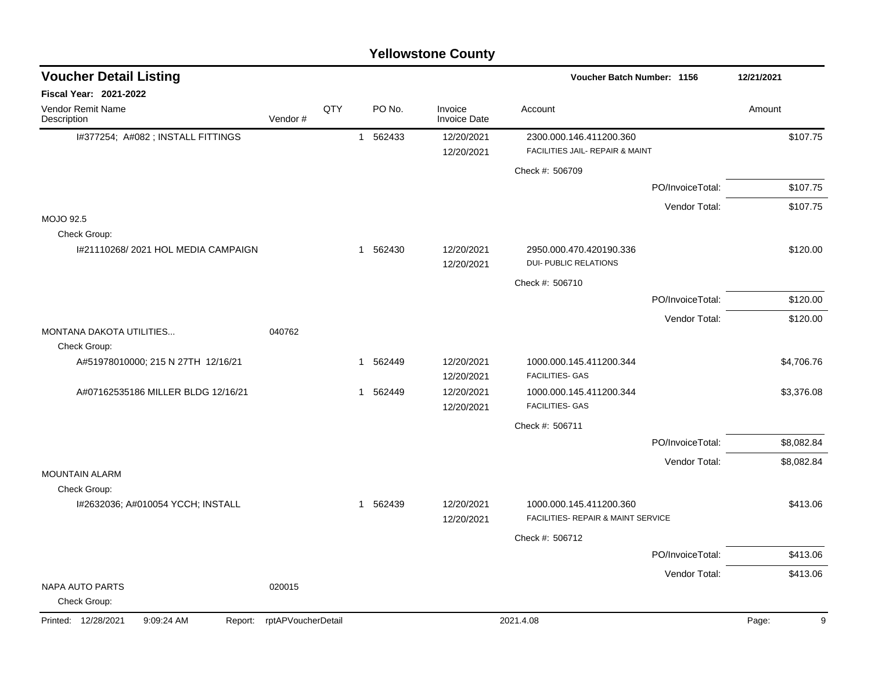| <b>Yellowstone County</b> |  |
|---------------------------|--|
|---------------------------|--|

| <b>Voucher Detail Listing</b>                     |                            |     |              |          |                                | Voucher Batch Number: 1156                              |                  | 12/21/2021 |
|---------------------------------------------------|----------------------------|-----|--------------|----------|--------------------------------|---------------------------------------------------------|------------------|------------|
| <b>Fiscal Year: 2021-2022</b>                     |                            |     |              |          |                                |                                                         |                  |            |
| Vendor Remit Name<br>Description                  | Vendor#                    | QTY |              | PO No.   | Invoice<br><b>Invoice Date</b> | Account                                                 |                  | Amount     |
| I#377254; A#082 ; INSTALL FITTINGS                |                            |     | $\mathbf{1}$ | 562433   | 12/20/2021                     | 2300.000.146.411200.360                                 |                  | \$107.75   |
|                                                   |                            |     |              |          | 12/20/2021                     | FACILITIES JAIL- REPAIR & MAINT                         |                  |            |
|                                                   |                            |     |              |          |                                | Check #: 506709                                         |                  |            |
|                                                   |                            |     |              |          |                                |                                                         | PO/InvoiceTotal: | \$107.75   |
|                                                   |                            |     |              |          |                                |                                                         | Vendor Total:    | \$107.75   |
| <b>MOJO 92.5</b><br>Check Group:                  |                            |     |              |          |                                |                                                         |                  |            |
| 1#21110268/2021 HOL MEDIA CAMPAIGN                |                            |     |              | 1 562430 | 12/20/2021                     | 2950.000.470.420190.336<br><b>DUI- PUBLIC RELATIONS</b> |                  | \$120.00   |
|                                                   |                            |     |              |          | 12/20/2021                     | Check #: 506710                                         |                  |            |
|                                                   |                            |     |              |          |                                |                                                         | PO/InvoiceTotal: | \$120.00   |
|                                                   |                            |     |              |          |                                |                                                         |                  |            |
| MONTANA DAKOTA UTILITIES<br>Check Group:          | 040762                     |     |              |          |                                |                                                         | Vendor Total:    | \$120.00   |
| A#51978010000; 215 N 27TH 12/16/21                |                            |     |              | 1 562449 | 12/20/2021                     | 1000.000.145.411200.344                                 |                  | \$4,706.76 |
|                                                   |                            |     |              |          | 12/20/2021                     | FACILITIES- GAS                                         |                  |            |
| A#07162535186 MILLER BLDG 12/16/21                |                            |     | $\mathbf{1}$ | 562449   | 12/20/2021<br>12/20/2021       | 1000.000.145.411200.344<br><b>FACILITIES- GAS</b>       |                  | \$3,376.08 |
|                                                   |                            |     |              |          |                                | Check #: 506711                                         |                  |            |
|                                                   |                            |     |              |          |                                |                                                         | PO/InvoiceTotal: | \$8,082.84 |
|                                                   |                            |     |              |          |                                |                                                         | Vendor Total:    | \$8,082.84 |
| <b>MOUNTAIN ALARM</b>                             |                            |     |              |          |                                |                                                         |                  |            |
| Check Group:<br>I#2632036; A#010054 YCCH; INSTALL |                            |     |              | 1 562439 | 12/20/2021                     | 1000.000.145.411200.360                                 |                  | \$413.06   |
|                                                   |                            |     |              |          | 12/20/2021                     | FACILITIES- REPAIR & MAINT SERVICE                      |                  |            |
|                                                   |                            |     |              |          |                                | Check #: 506712                                         |                  |            |
|                                                   |                            |     |              |          |                                |                                                         | PO/InvoiceTotal: | \$413.06   |
|                                                   |                            |     |              |          |                                |                                                         | Vendor Total:    | \$413.06   |
| <b>NAPA AUTO PARTS</b><br>Check Group:            | 020015                     |     |              |          |                                |                                                         |                  |            |
| Printed: 12/28/2021<br>9:09:24 AM                 | Report: rptAPVoucherDetail |     |              |          |                                | 2021.4.08                                               |                  | Page:<br>9 |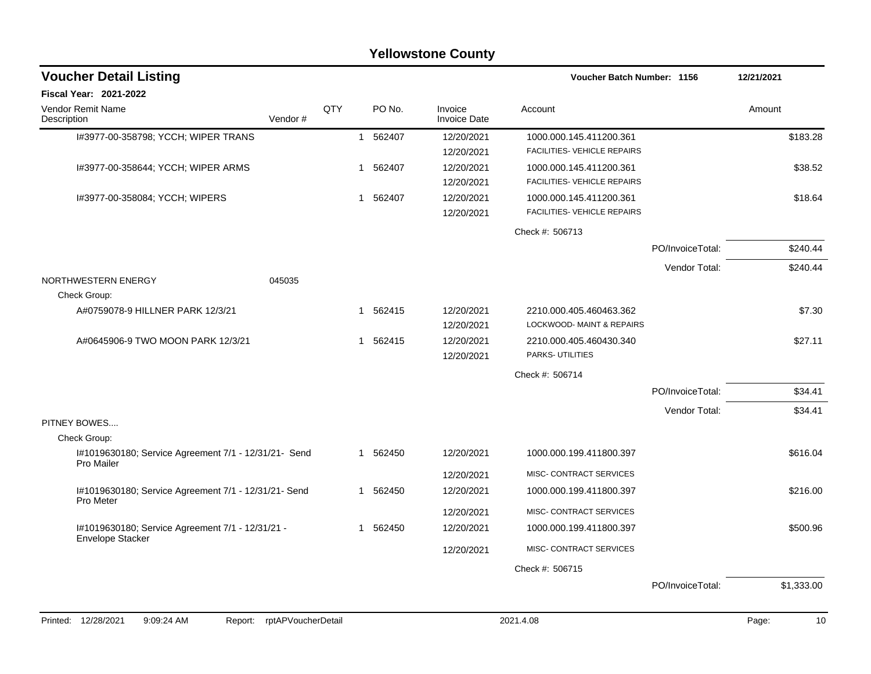|                                                                      |                            |     |   |          | <b>Yellowstone County</b>      |                                                               |                  |            |          |
|----------------------------------------------------------------------|----------------------------|-----|---|----------|--------------------------------|---------------------------------------------------------------|------------------|------------|----------|
| <b>Voucher Detail Listing</b>                                        |                            |     |   |          |                                | <b>Voucher Batch Number: 1156</b>                             |                  | 12/21/2021 |          |
| Fiscal Year: 2021-2022                                               |                            |     |   |          |                                |                                                               |                  |            |          |
| Vendor Remit Name<br>Description                                     | Vendor#                    | QTY |   | PO No.   | Invoice<br><b>Invoice Date</b> | Account                                                       |                  | Amount     |          |
| I#3977-00-358798; YCCH; WIPER TRANS                                  |                            |     | 1 | 562407   | 12/20/2021<br>12/20/2021       | 1000.000.145.411200.361<br>FACILITIES- VEHICLE REPAIRS        |                  |            | \$183.28 |
| 1#3977-00-358644; YCCH; WIPER ARMS                                   |                            |     | 1 | 562407   | 12/20/2021<br>12/20/2021       | 1000.000.145.411200.361<br>FACILITIES- VEHICLE REPAIRS        |                  |            | \$38.52  |
| 1#3977-00-358084; YCCH; WIPERS                                       |                            |     | 1 | 562407   | 12/20/2021<br>12/20/2021       | 1000.000.145.411200.361<br><b>FACILITIES- VEHICLE REPAIRS</b> |                  |            | \$18.64  |
|                                                                      |                            |     |   |          |                                | Check #: 506713                                               |                  |            |          |
|                                                                      |                            |     |   |          |                                |                                                               | PO/InvoiceTotal: |            | \$240.44 |
|                                                                      |                            |     |   |          |                                |                                                               | Vendor Total:    |            | \$240.44 |
| NORTHWESTERN ENERGY<br>Check Group:                                  | 045035                     |     |   |          |                                |                                                               |                  |            |          |
| A#0759078-9 HILLNER PARK 12/3/21                                     |                            |     | 1 | 562415   | 12/20/2021<br>12/20/2021       | 2210.000.405.460463.362<br>LOCKWOOD- MAINT & REPAIRS          |                  |            | \$7.30   |
| A#0645906-9 TWO MOON PARK 12/3/21                                    |                            |     | 1 | 562415   | 12/20/2021<br>12/20/2021       | 2210.000.405.460430.340<br>PARKS-UTILITIES                    |                  |            | \$27.11  |
|                                                                      |                            |     |   |          |                                | Check #: 506714                                               |                  |            |          |
|                                                                      |                            |     |   |          |                                |                                                               | PO/InvoiceTotal: |            | \$34.41  |
|                                                                      |                            |     |   |          |                                |                                                               | Vendor Total:    |            | \$34.41  |
| PITNEY BOWES                                                         |                            |     |   |          |                                |                                                               |                  |            |          |
| Check Group:<br>I#1019630180; Service Agreement 7/1 - 12/31/21- Send |                            |     | 1 | 562450   | 12/20/2021                     | 1000.000.199.411800.397                                       |                  |            | \$616.04 |
| <b>Pro Mailer</b>                                                    |                            |     |   |          |                                |                                                               |                  |            |          |
| I#1019630180; Service Agreement 7/1 - 12/31/21- Send                 |                            |     | 1 | 562450   | 12/20/2021<br>12/20/2021       | MISC- CONTRACT SERVICES<br>1000.000.199.411800.397            |                  |            | \$216.00 |
| <b>Pro Meter</b>                                                     |                            |     |   |          |                                |                                                               |                  |            |          |
|                                                                      |                            |     |   |          | 12/20/2021                     | MISC- CONTRACT SERVICES                                       |                  |            |          |
| I#1019630180; Service Agreement 7/1 - 12/31/21 -<br>Envelope Stacker |                            |     |   | 1 562450 | 12/20/2021                     | 1000.000.199.411800.397                                       |                  |            | \$500.96 |
|                                                                      |                            |     |   |          | 12/20/2021                     | MISC- CONTRACT SERVICES                                       |                  |            |          |
|                                                                      |                            |     |   |          |                                | Check #: 506715                                               |                  |            |          |
|                                                                      |                            |     |   |          |                                |                                                               | PO/InvoiceTotal: | \$1,333.00 |          |
|                                                                      |                            |     |   |          |                                |                                                               |                  |            |          |
| 12/28/2021<br>9:09:24 AM<br>Printed:                                 | Report: rptAPVoucherDetail |     |   |          |                                | 2021.4.08                                                     |                  | Page:      | 10       |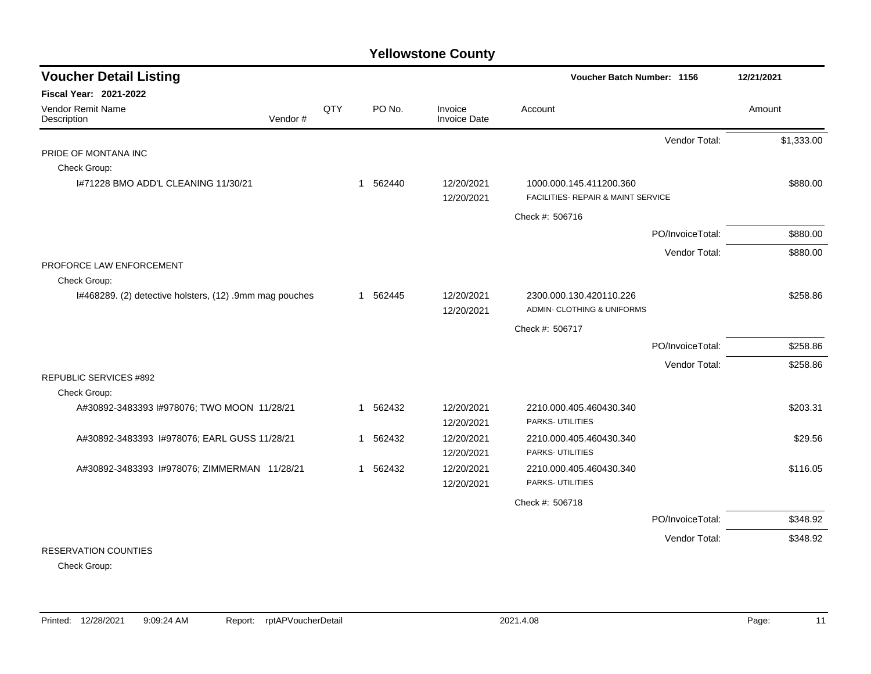| <b>Voucher Detail Listing</b>                           |     |   |          |                                | Voucher Batch Number: 1156                                       |                  | 12/21/2021 |
|---------------------------------------------------------|-----|---|----------|--------------------------------|------------------------------------------------------------------|------------------|------------|
| Fiscal Year: 2021-2022                                  |     |   |          |                                |                                                                  |                  |            |
| Vendor Remit Name<br>Vendor#<br>Description             | QTY |   | PO No.   | Invoice<br><b>Invoice Date</b> | Account                                                          |                  | Amount     |
|                                                         |     |   |          |                                |                                                                  | Vendor Total:    | \$1,333.00 |
| PRIDE OF MONTANA INC                                    |     |   |          |                                |                                                                  |                  |            |
| Check Group:                                            |     |   |          |                                |                                                                  |                  |            |
| 1#71228 BMO ADD'L CLEANING 11/30/21                     |     |   | 1 562440 | 12/20/2021                     | 1000.000.145.411200.360                                          |                  | \$880.00   |
|                                                         |     |   |          | 12/20/2021                     | <b>FACILITIES- REPAIR &amp; MAINT SERVICE</b>                    |                  |            |
|                                                         |     |   |          |                                | Check #: 506716                                                  |                  |            |
|                                                         |     |   |          |                                |                                                                  | PO/InvoiceTotal: | \$880.00   |
|                                                         |     |   |          |                                |                                                                  | Vendor Total:    | \$880.00   |
| PROFORCE LAW ENFORCEMENT                                |     |   |          |                                |                                                                  |                  |            |
| Check Group:                                            |     |   |          |                                |                                                                  |                  |            |
| I#468289. (2) detective holsters, (12) .9mm mag pouches |     |   | 1 562445 | 12/20/2021<br>12/20/2021       | 2300.000.130.420110.226<br><b>ADMIN- CLOTHING &amp; UNIFORMS</b> |                  | \$258.86   |
|                                                         |     |   |          |                                | Check #: 506717                                                  |                  |            |
|                                                         |     |   |          |                                |                                                                  | PO/InvoiceTotal: | \$258.86   |
|                                                         |     |   |          |                                |                                                                  | Vendor Total:    | \$258.86   |
| <b>REPUBLIC SERVICES #892</b>                           |     |   |          |                                |                                                                  |                  |            |
| Check Group:                                            |     |   |          |                                |                                                                  |                  |            |
| A#30892-3483393 I#978076; TWO MOON 11/28/21             |     | 1 | 562432   | 12/20/2021                     | 2210.000.405.460430.340                                          |                  | \$203.31   |
|                                                         |     |   |          | 12/20/2021                     | PARKS- UTILITIES                                                 |                  |            |
| A#30892-3483393 I#978076; EARL GUSS 11/28/21            |     | 1 | 562432   | 12/20/2021                     | 2210.000.405.460430.340                                          |                  | \$29.56    |
|                                                         |     |   |          | 12/20/2021                     | PARKS- UTILITIES                                                 |                  |            |
| A#30892-3483393 I#978076; ZIMMERMAN 11/28/21            |     |   | 1 562432 | 12/20/2021                     | 2210.000.405.460430.340                                          |                  | \$116.05   |
|                                                         |     |   |          | 12/20/2021                     | PARKS- UTILITIES                                                 |                  |            |
|                                                         |     |   |          |                                | Check #: 506718                                                  |                  |            |
|                                                         |     |   |          |                                |                                                                  | PO/InvoiceTotal: | \$348.92   |
|                                                         |     |   |          |                                |                                                                  | Vendor Total:    | \$348.92   |
| <b>RESERVATION COUNTIES</b>                             |     |   |          |                                |                                                                  |                  |            |

Check Group: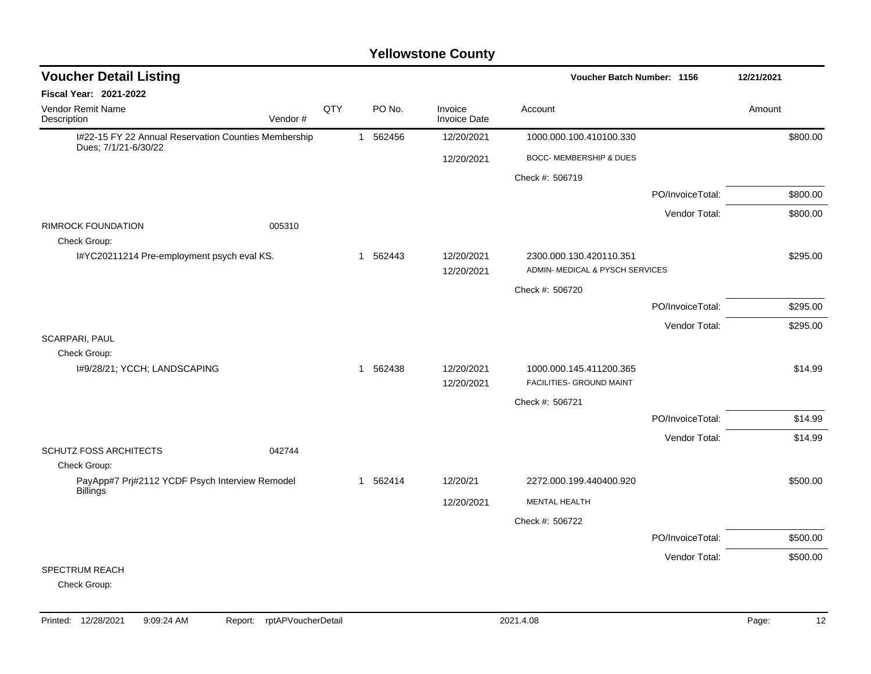| <b>Voucher Detail Listing</b>                                                |         |     |              |          |                                | Voucher Batch Number: 1156                                 | 12/21/2021       |          |
|------------------------------------------------------------------------------|---------|-----|--------------|----------|--------------------------------|------------------------------------------------------------|------------------|----------|
| <b>Fiscal Year: 2021-2022</b>                                                |         |     |              |          |                                |                                                            |                  |          |
| Vendor Remit Name<br>Description                                             | Vendor# | QTY |              | PO No.   | Invoice<br><b>Invoice Date</b> | Account                                                    |                  | Amount   |
| I#22-15 FY 22 Annual Reservation Counties Membership<br>Dues; 7/1/21-6/30/22 |         |     | $\mathbf{1}$ | 562456   | 12/20/2021                     | 1000.000.100.410100.330                                    |                  | \$800.00 |
|                                                                              |         |     |              |          | 12/20/2021                     | BOCC- MEMBERSHIP & DUES                                    |                  |          |
|                                                                              |         |     |              |          |                                | Check #: 506719                                            |                  |          |
|                                                                              |         |     |              |          |                                |                                                            | PO/InvoiceTotal: | \$800.00 |
|                                                                              |         |     |              |          |                                |                                                            | Vendor Total:    | \$800.00 |
| <b>RIMROCK FOUNDATION</b><br>Check Group:                                    | 005310  |     |              |          |                                |                                                            |                  |          |
| I#YC20211214 Pre-employment psych eval KS.                                   |         |     | 1            | 562443   | 12/20/2021<br>12/20/2021       | 2300.000.130.420110.351<br>ADMIN- MEDICAL & PYSCH SERVICES |                  | \$295.00 |
|                                                                              |         |     |              |          |                                | Check #: 506720                                            |                  |          |
|                                                                              |         |     |              |          |                                |                                                            | PO/InvoiceTotal: | \$295.00 |
|                                                                              |         |     |              |          |                                |                                                            | Vendor Total:    | \$295.00 |
| <b>SCARPARI, PAUL</b>                                                        |         |     |              |          |                                |                                                            |                  |          |
| Check Group:<br>I#9/28/21; YCCH; LANDSCAPING                                 |         |     | -1           | 562438   | 12/20/2021                     | 1000.000.145.411200.365                                    |                  | \$14.99  |
|                                                                              |         |     |              |          | 12/20/2021                     | FACILITIES- GROUND MAINT                                   |                  |          |
|                                                                              |         |     |              |          |                                | Check #: 506721                                            |                  |          |
|                                                                              |         |     |              |          |                                |                                                            | PO/InvoiceTotal: | \$14.99  |
|                                                                              |         |     |              |          |                                |                                                            | Vendor Total:    | \$14.99  |
| SCHUTZ FOSS ARCHITECTS                                                       | 042744  |     |              |          |                                |                                                            |                  |          |
| Check Group:<br>PayApp#7 Prj#2112 YCDF Psych Interview Remodel               |         |     |              | 1 562414 | 12/20/21                       | 2272.000.199.440400.920                                    |                  | \$500.00 |
| <b>Billings</b>                                                              |         |     |              |          | 12/20/2021                     | <b>MENTAL HEALTH</b>                                       |                  |          |
|                                                                              |         |     |              |          |                                | Check #: 506722                                            |                  |          |
|                                                                              |         |     |              |          |                                |                                                            | PO/InvoiceTotal: | \$500.00 |
|                                                                              |         |     |              |          |                                |                                                            | Vendor Total:    | \$500.00 |
| <b>SPECTRUM REACH</b>                                                        |         |     |              |          |                                |                                                            |                  |          |
| Check Group:                                                                 |         |     |              |          |                                |                                                            |                  |          |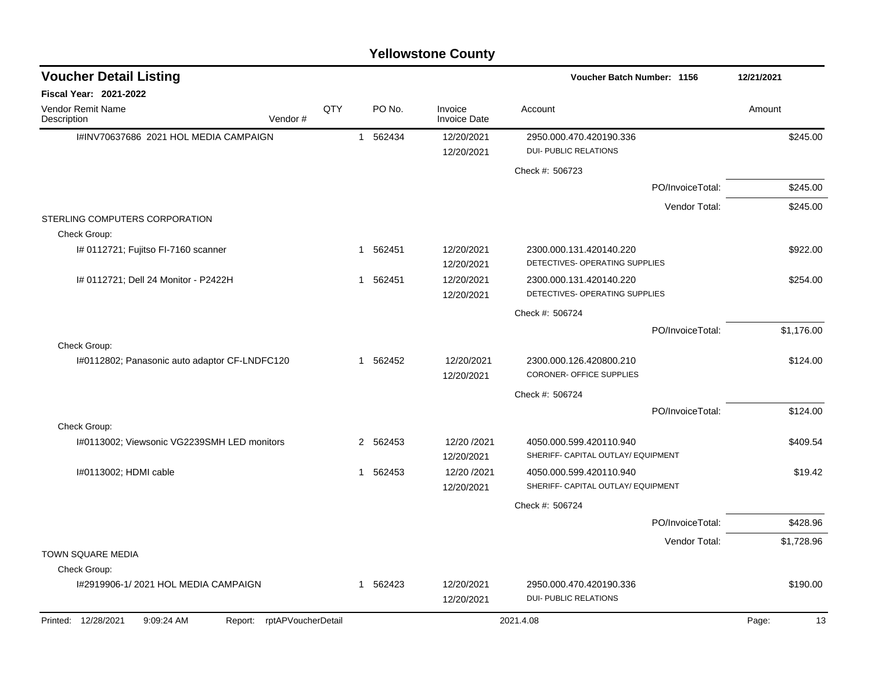| <b>Voucher Detail Listing</b>                                      |     |          |                                | <b>Voucher Batch Number: 1156</b>                             | 12/21/2021                  |
|--------------------------------------------------------------------|-----|----------|--------------------------------|---------------------------------------------------------------|-----------------------------|
| <b>Fiscal Year: 2021-2022</b>                                      |     |          |                                |                                                               |                             |
| Vendor Remit Name<br>Vendor#<br>Description                        | QTY | PO No.   | Invoice<br><b>Invoice Date</b> | Account                                                       | Amount                      |
| I#INV70637686 2021 HOL MEDIA CAMPAIGN                              |     | 1 562434 | 12/20/2021                     | 2950.000.470.420190.336                                       | \$245.00                    |
|                                                                    |     |          | 12/20/2021                     | <b>DUI- PUBLIC RELATIONS</b>                                  |                             |
|                                                                    |     |          |                                | Check #: 506723                                               |                             |
|                                                                    |     |          |                                | PO/InvoiceTotal:                                              | \$245.00                    |
|                                                                    |     |          |                                |                                                               | Vendor Total:<br>\$245.00   |
| STERLING COMPUTERS CORPORATION<br>Check Group:                     |     |          |                                |                                                               |                             |
| I# 0112721; Fujitso FI-7160 scanner                                |     | 1 562451 | 12/20/2021<br>12/20/2021       | 2300.000.131.420140.220<br>DETECTIVES- OPERATING SUPPLIES     | \$922.00                    |
| # 0112721; Dell 24 Monitor - P2422H                                |     | 1 562451 | 12/20/2021<br>12/20/2021       | 2300.000.131.420140.220<br>DETECTIVES- OPERATING SUPPLIES     | \$254.00                    |
|                                                                    |     |          |                                | Check #: 506724                                               |                             |
|                                                                    |     |          |                                | PO/InvoiceTotal:                                              | \$1,176.00                  |
| Check Group:                                                       |     |          |                                |                                                               |                             |
| I#0112802; Panasonic auto adaptor CF-LNDFC120                      |     | 1 562452 | 12/20/2021<br>12/20/2021       | 2300.000.126.420800.210<br>CORONER- OFFICE SUPPLIES           | \$124.00                    |
|                                                                    |     |          |                                | Check #: 506724                                               |                             |
|                                                                    |     |          |                                | PO/InvoiceTotal:                                              | \$124.00                    |
| Check Group:                                                       |     |          |                                |                                                               |                             |
| I#0113002; Viewsonic VG2239SMH LED monitors                        |     | 2 562453 | 12/20 /2021<br>12/20/2021      | 4050.000.599.420110.940<br>SHERIFF- CAPITAL OUTLAY/ EQUIPMENT | \$409.54                    |
| I#0113002; HDMI cable                                              |     | 1 562453 | 12/20 /2021                    | 4050.000.599.420110.940                                       | \$19.42                     |
|                                                                    |     |          | 12/20/2021                     | SHERIFF- CAPITAL OUTLAY/ EQUIPMENT                            |                             |
|                                                                    |     |          |                                | Check #: 506724                                               |                             |
|                                                                    |     |          |                                | PO/InvoiceTotal:                                              | \$428.96                    |
|                                                                    |     |          |                                |                                                               | Vendor Total:<br>\$1,728.96 |
| <b>TOWN SQUARE MEDIA</b>                                           |     |          |                                |                                                               |                             |
| Check Group:                                                       |     |          |                                |                                                               |                             |
| I#2919906-1/2021 HOL MEDIA CAMPAIGN                                |     | 1 562423 | 12/20/2021<br>12/20/2021       | 2950.000.470.420190.336<br>DUI- PUBLIC RELATIONS              | \$190.00                    |
| rptAPVoucherDetail<br>Printed: 12/28/2021<br>9:09:24 AM<br>Report: |     |          |                                | 2021.4.08                                                     | 13<br>Page:                 |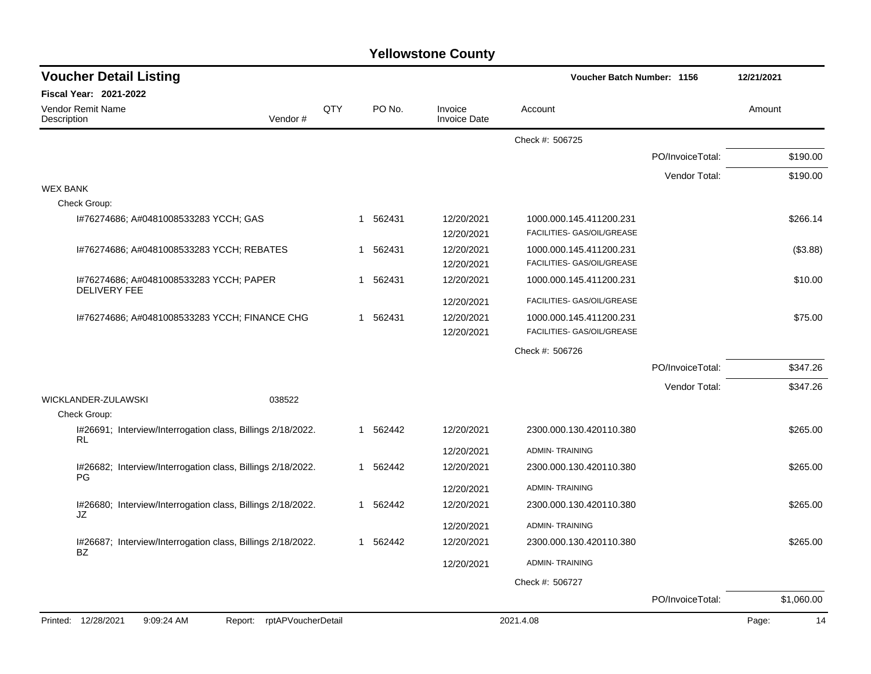| <b>Voucher Detail Listing</b>                                     |                    |     |          |                                | Voucher Batch Number: 1156                            |                  | 12/21/2021  |
|-------------------------------------------------------------------|--------------------|-----|----------|--------------------------------|-------------------------------------------------------|------------------|-------------|
| Fiscal Year: 2021-2022                                            |                    |     |          |                                |                                                       |                  |             |
| Vendor Remit Name<br>Description                                  | Vendor#            | QTY | PO No.   | Invoice<br><b>Invoice Date</b> | Account                                               |                  | Amount      |
|                                                                   |                    |     |          |                                | Check #: 506725                                       |                  |             |
|                                                                   |                    |     |          |                                |                                                       | PO/InvoiceTotal: | \$190.00    |
|                                                                   |                    |     |          |                                |                                                       | Vendor Total:    | \$190.00    |
| <b>WEX BANK</b>                                                   |                    |     |          |                                |                                                       |                  |             |
| Check Group:                                                      |                    |     |          |                                |                                                       |                  |             |
| I#76274686; A#0481008533283 YCCH; GAS                             |                    | -1  | 562431   | 12/20/2021                     | 1000.000.145.411200.231                               |                  | \$266.14    |
|                                                                   |                    |     |          | 12/20/2021                     | FACILITIES- GAS/OIL/GREASE                            |                  |             |
| I#76274686; A#0481008533283 YCCH; REBATES                         |                    |     | 1 562431 | 12/20/2021<br>12/20/2021       | 1000.000.145.411200.231<br>FACILITIES- GAS/OIL/GREASE |                  | (\$3.88)    |
| I#76274686; A#0481008533283 YCCH; PAPER                           |                    |     | 1 562431 | 12/20/2021                     | 1000.000.145.411200.231                               |                  | \$10.00     |
| <b>DELIVERY FEE</b>                                               |                    |     |          | 12/20/2021                     | FACILITIES- GAS/OIL/GREASE                            |                  |             |
| I#76274686; A#0481008533283 YCCH; FINANCE CHG                     |                    |     | 1 562431 | 12/20/2021                     | 1000.000.145.411200.231                               |                  | \$75.00     |
|                                                                   |                    |     |          | 12/20/2021                     | FACILITIES- GAS/OIL/GREASE                            |                  |             |
|                                                                   |                    |     |          |                                | Check #: 506726                                       |                  |             |
|                                                                   |                    |     |          |                                |                                                       | PO/InvoiceTotal: | \$347.26    |
|                                                                   |                    |     |          |                                |                                                       | Vendor Total:    | \$347.26    |
| WICKLANDER-ZULAWSKI                                               | 038522             |     |          |                                |                                                       |                  |             |
| Check Group:                                                      |                    |     |          |                                |                                                       |                  |             |
| I#26691; Interview/Interrogation class, Billings 2/18/2022.<br>RL |                    |     | 1 562442 | 12/20/2021                     | 2300.000.130.420110.380                               |                  | \$265.00    |
|                                                                   |                    |     |          | 12/20/2021                     | <b>ADMIN-TRAINING</b>                                 |                  |             |
| I#26682; Interview/Interrogation class, Billings 2/18/2022.<br>PG |                    |     | 1 562442 | 12/20/2021                     | 2300.000.130.420110.380                               |                  | \$265.00    |
|                                                                   |                    |     |          | 12/20/2021                     | <b>ADMIN-TRAINING</b>                                 |                  |             |
| I#26680; Interview/Interrogation class, Billings 2/18/2022.<br>JZ |                    |     | 1 562442 | 12/20/2021                     | 2300.000.130.420110.380                               |                  | \$265.00    |
|                                                                   |                    |     |          | 12/20/2021                     | <b>ADMIN-TRAINING</b>                                 |                  |             |
| I#26687; Interview/Interrogation class, Billings 2/18/2022.<br>BZ |                    |     | 1 562442 | 12/20/2021                     | 2300.000.130.420110.380                               |                  | \$265.00    |
|                                                                   |                    |     |          | 12/20/2021                     | <b>ADMIN-TRAINING</b>                                 |                  |             |
|                                                                   |                    |     |          |                                | Check #: 506727                                       |                  |             |
|                                                                   |                    |     |          |                                |                                                       | PO/InvoiceTotal: | \$1,060.00  |
| Printed: 12/28/2021<br>9:09:24 AM<br>Report:                      | rptAPVoucherDetail |     |          |                                | 2021.4.08                                             |                  | Page:<br>14 |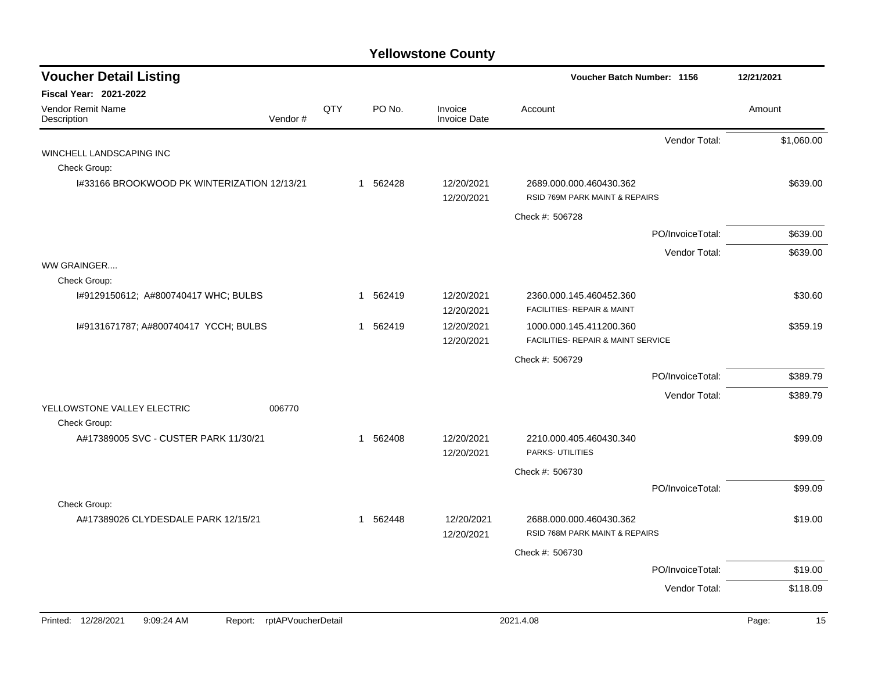| <b>Voucher Detail Listing</b>                |                    |     |                        |                                | Voucher Batch Number: 1156                                    |                  | 12/21/2021  |
|----------------------------------------------|--------------------|-----|------------------------|--------------------------------|---------------------------------------------------------------|------------------|-------------|
| <b>Fiscal Year: 2021-2022</b>                |                    |     |                        |                                |                                                               |                  |             |
| <b>Vendor Remit Name</b><br>Description      | Vendor#            | QTY | PO No.                 | Invoice<br><b>Invoice Date</b> | Account                                                       |                  | Amount      |
|                                              |                    |     |                        |                                |                                                               | Vendor Total:    | \$1,060.00  |
| WINCHELL LANDSCAPING INC                     |                    |     |                        |                                |                                                               |                  |             |
| Check Group:                                 |                    |     |                        |                                |                                                               |                  |             |
| 1#33166 BROOKWOOD PK WINTERIZATION 12/13/21  |                    |     | 1 562428               | 12/20/2021<br>12/20/2021       | 2689.000.000.460430.362<br>RSID 769M PARK MAINT & REPAIRS     |                  | \$639.00    |
|                                              |                    |     |                        |                                | Check #: 506728                                               |                  |             |
|                                              |                    |     |                        |                                |                                                               | PO/InvoiceTotal: | \$639.00    |
|                                              |                    |     |                        |                                |                                                               | Vendor Total:    | \$639.00    |
| WW GRAINGER                                  |                    |     |                        |                                |                                                               |                  |             |
| Check Group:                                 |                    |     |                        |                                |                                                               |                  |             |
| I#9129150612; A#800740417 WHC; BULBS         |                    |     | 562419<br>$\mathbf{1}$ | 12/20/2021                     | 2360.000.145.460452.360                                       |                  | \$30.60     |
|                                              |                    |     |                        | 12/20/2021                     | FACILITIES- REPAIR & MAINT                                    |                  |             |
| I#9131671787; A#800740417 YCCH; BULBS        |                    |     | 562419<br>1            | 12/20/2021<br>12/20/2021       | 1000.000.145.411200.360<br>FACILITIES- REPAIR & MAINT SERVICE |                  | \$359.19    |
|                                              |                    |     |                        |                                | Check #: 506729                                               |                  |             |
|                                              |                    |     |                        |                                |                                                               | PO/InvoiceTotal: | \$389.79    |
|                                              |                    |     |                        |                                |                                                               | Vendor Total:    | \$389.79    |
| YELLOWSTONE VALLEY ELECTRIC<br>Check Group:  | 006770             |     |                        |                                |                                                               |                  |             |
| A#17389005 SVC - CUSTER PARK 11/30/21        |                    |     | 562408<br>$\mathbf 1$  | 12/20/2021<br>12/20/2021       | 2210.000.405.460430.340<br>PARKS- UTILITIES                   |                  | \$99.09     |
|                                              |                    |     |                        |                                | Check #: 506730                                               |                  |             |
|                                              |                    |     |                        |                                |                                                               | PO/InvoiceTotal: | \$99.09     |
| Check Group:                                 |                    |     |                        |                                |                                                               |                  |             |
| A#17389026 CLYDESDALE PARK 12/15/21          |                    |     | 1 562448               | 12/20/2021<br>12/20/2021       | 2688.000.000.460430.362<br>RSID 768M PARK MAINT & REPAIRS     |                  | \$19.00     |
|                                              |                    |     |                        |                                | Check #: 506730                                               |                  |             |
|                                              |                    |     |                        |                                |                                                               | PO/InvoiceTotal: | \$19.00     |
|                                              |                    |     |                        |                                |                                                               | Vendor Total:    | \$118.09    |
|                                              |                    |     |                        |                                |                                                               |                  |             |
| Printed: 12/28/2021<br>9:09:24 AM<br>Report: | rptAPVoucherDetail |     |                        |                                | 2021.4.08                                                     |                  | Page:<br>15 |